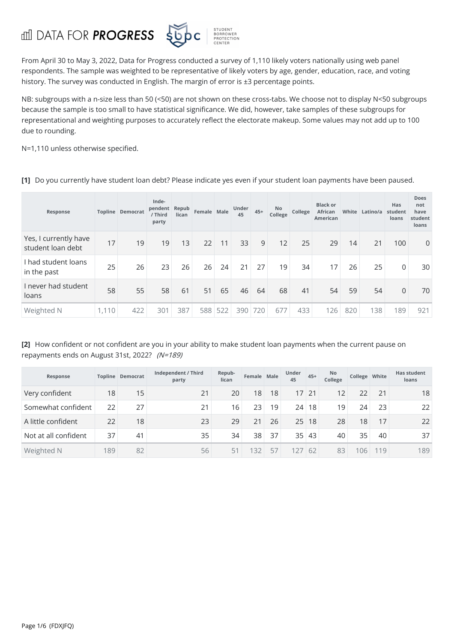## **ddi** DATA FOR **PROGRESS**



From April 30 to May 3,2022, Data for Progress conducted a survey of 1,110 likely voters nationally using web panel respondents. The sample was weighted to be representative of likely voters by age, gender, education, race, and voting history. The survey was conducted in English. The margin of error is ±3 percentage points.

NB: subgroups with a n-size less than 50 (<50) are not shown on these cross-tabs. We choose not to display N<50 subgroups because the sample is too small to have statistical significance. We did, however, take samples of these subgroups for representational and weighting purposes to accurately reflect the electorate makeup. Some values may not add up to 100 due to rounding.

N=1,110 unless otherwise specified.

**[1]** Do you currently have student loan debt? Please indicate yes even if your student loan payments have been paused.

| Response                                   |       | <b>Topline Democrat</b> | Inde-<br>pendent Repub<br>/ Third<br>party | lican | Female Male |     | Under<br>45 | $45+$ | <b>No</b><br>College | College | <b>Black or</b><br>African<br><b>American</b> | White | Latino/a | Has<br>student<br>loans | <b>Does</b><br>not<br>have<br>student<br>loans |
|--------------------------------------------|-------|-------------------------|--------------------------------------------|-------|-------------|-----|-------------|-------|----------------------|---------|-----------------------------------------------|-------|----------|-------------------------|------------------------------------------------|
| Yes, I currently have<br>student loan debt | 17    | 19                      | 19                                         | 13    | 22          | 11  | 33          | 9     | 12                   | 25      | 29                                            | 14    | 21       | 100                     | $\mathbf{0}$                                   |
| I had student loans<br>in the past         | 25    | 26                      | 23                                         | 26    | 26          | 24  | 21          | 27    | 19                   | 34      | 17                                            | 26    | 25       | 0                       | 30                                             |
| I never had student<br>loans               | 58    | 55                      | 58                                         | 61    | 51          | 65  | 46          | 64    | 68                   | 41      | 54                                            | 59    | 54       | $\Omega$                | 70                                             |
| Weighted N                                 | 1,110 | 422                     | 301                                        | 387   | 588         | 522 | 390         | 720   | 677                  | 433     | 126                                           | 820   | 138      | 189                     | 921                                            |

**[2]** How confident or not confident are you in your ability to make student loan payments when the current pause on repayments ends on August 31st, 2022? (N=189)

| Response             |     | Topline Democrat | Independent / Third<br>party | Repub-<br>lican | Female Male |    | Under<br>45 | $45+$ | <b>No</b><br>College | College White |     | <b>Has student</b><br>loans |
|----------------------|-----|------------------|------------------------------|-----------------|-------------|----|-------------|-------|----------------------|---------------|-----|-----------------------------|
| Very confident       | 18  | 15               | 21                           | 20              | 18          | 18 | 17          | 21    | 12                   | 22            | 21  | 18                          |
| Somewhat confident   | 22  | 27               | 21                           | 16              | 23          | 19 | 24          | 18    | 19                   | 24            | 23  | 22                          |
| A little confident   | 22  | 18               | 23                           | 29              | 21          | 26 | 25          | 18    | 28                   | 18            | 17  | 22                          |
| Not at all confident | 37  | 41               | 35                           | 34              | 38          | 37 | 35          | 43    | 40                   | 35            | 40  | 37                          |
| Weighted N           | 189 | 82               | 56                           | 5 <sup>1</sup>  | 32          | 57 | 127         | 62    | 83                   | 106           | 119 | 189                         |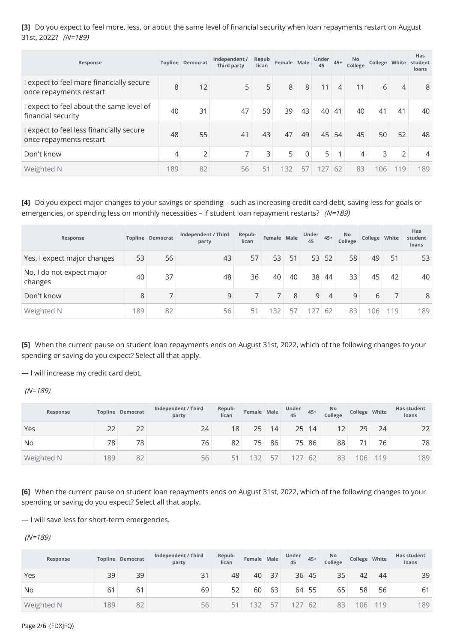**[3]** Do you expect to feel more, less, or about the same level of financial security when loan repayments restart on August 31st, 2022? (N=189)

| Response                                                            |     | Topline Democrat | Independent /<br><b>Third party</b> | Repub<br>lican | Female Male |              | Under<br>45 | $45+$          | No<br>College |     |                | Has<br>College White student<br>loans |
|---------------------------------------------------------------------|-----|------------------|-------------------------------------|----------------|-------------|--------------|-------------|----------------|---------------|-----|----------------|---------------------------------------|
| I expect to feel more financially secure<br>once repayments restart | 8   | 12               | 5                                   | 5              | 8           | 8            | 11          | $\overline{4}$ | 11            | 6   | $\overline{4}$ | 8                                     |
| I expect to feel about the same level of<br>financial security      | 40  | 31               | 47                                  | 50             | 39          | 43           | 40          | 41             | 40            | 41  | 41             | 40                                    |
| I expect to feel less financially secure<br>once repayments restart | 48  | 55               | 41                                  | 43             | 47          | 49           | 45          | 54             | 45            | 50  | 52             | 48                                    |
| Don't know                                                          | 4   | $\overline{2}$   | $\overline{\phantom{0}}$            | $\overline{3}$ | 5           | $\mathbf{0}$ | 5           | $\mathbf{1}$   | 4             | 3   | $\overline{2}$ | 4                                     |
| Weighted N                                                          | 189 | 82               | 56                                  | 51             | 132         | 57           | 127         | 62             | 83            | 106 | 119            | 189                                   |

**[4]** Do you expect major changes to your savings or spending – such as increasing credit card debt, saving less for goals or emergencies, or spending less on monthly necessities – if student loan repayment restarts? (N=189)

| Response                             |     | Topline Democrat | Independent / Third<br>party | Repub-<br>lican | Female Male |    | Under<br>45 | $45+$ | No<br>College | College White |    | Has<br>student<br>loans |
|--------------------------------------|-----|------------------|------------------------------|-----------------|-------------|----|-------------|-------|---------------|---------------|----|-------------------------|
| Yes, I expect major changes          | 53  | 56               | 43                           | 57              | 53          | 51 | 53          | 52    | 58            | 49            | 51 | 53                      |
| No, I do not expect major<br>changes | 40  | 37               | 48                           | 36              | 40          | 40 | 38          | 44    | 33            | 45            | 42 | 40                      |
| Don't know                           | 8   |                  | 9                            |                 |             | 8  | 9           | 4     | 9             | 6             |    | 8                       |
| Weighted N                           | 189 | 82               | 56                           | 51              | 32          | 57 | 27          | 62    | 83            | 106           | 19 | 189                     |

**[5]** When the current pause on student loan repayments ends on August 31st, 2022, which of the following changes to your spending or saving do you expect? Select all that apply.

— I will increase my credit card debt.

(N=189)

| Response   |     | Topline Democrat | Independent / Third<br>party | Repub-<br>lican | Female Male |    | Under<br>45 | $45+$ | No.<br>College | College White |     | <b>Has student</b><br>loans |
|------------|-----|------------------|------------------------------|-----------------|-------------|----|-------------|-------|----------------|---------------|-----|-----------------------------|
| Yes        | 22  | 22               | 24                           | 18              | 25          | 14 | 25          | 14    | 12             | 29            | 24  | 22                          |
| No         | 78  | 78               | 76                           | 82              | 75          | 86 | 75          | 86    | 88             |               | 76  | 78                          |
| Weighted N | 189 | 82               | 56                           |                 | 32          | 57 |             | 62    | 83             | 06            | 119 | 189                         |

**[6]** When the current pause on student loan repayments ends on August 31st, 2022, which of the following changes to your spending or saving do you expect? Select all that apply.

— I will save less for short-term emergencies.

(N=189)

| Response   |     | Topline Democrat | Independent / Third<br>party | Repub-<br>lican | Female Male |    | Under<br>45 | $45+$ | <b>No</b><br>College | College White |    | <b>Has student</b><br>loans |
|------------|-----|------------------|------------------------------|-----------------|-------------|----|-------------|-------|----------------------|---------------|----|-----------------------------|
| Yes        | 39  | 39               | 31                           | 48              | 40          | 37 | 36          | 45    | 35                   | 42            | 44 | 39                          |
| No         | 61  | 6 <sup>1</sup>   | 69                           | 52              | 60          | 63 | 64          | 55    | 65                   | 58            | 56 | 61                          |
| Weighted N | 189 | 82               | 56                           | 51              | 32          | 57 |             | 62    | 83                   | 06            | 19 | 189                         |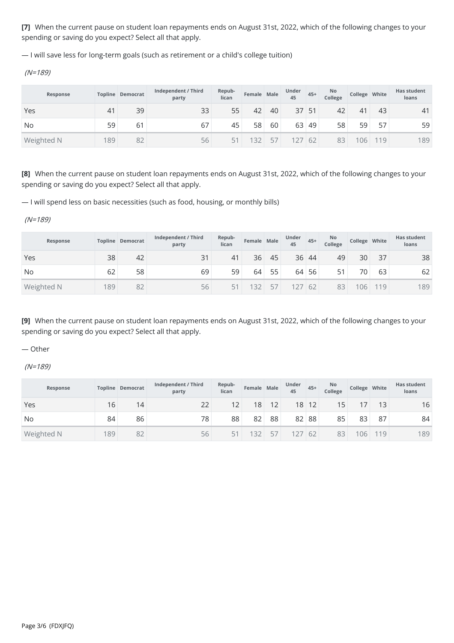**[7]** When the current pause on student loan repayments ends on August 31st, 2022, which of the following changes to your spending or saving do you expect? Select all that apply.

— I will save less for long-term goals (such asretirement or a child's college tuition)

(N=189)

| Response   |     | Topline Democrat | Independent / Third<br>party | Repub-<br>lican | Female Male |    | Under<br>45 | $45+$ | No<br>College | College White |     | <b>Has student</b><br>loans |
|------------|-----|------------------|------------------------------|-----------------|-------------|----|-------------|-------|---------------|---------------|-----|-----------------------------|
| Yes        | 41  | 39               | 33                           | 55              | 42          | 40 | 37          | 51    | 42            | 41            | 43  | 41                          |
| No         | 59  | 61               | 67                           | 45              | 58          | 60 | 63          | 49    | 58            | 59            | 57  | 59                          |
| Weighted N | 189 | 82               | 56                           |                 | 32          | 57 |             | 62    | 83            | 06            | 119 | 189                         |

**[8]** When the current pause on student loan repayments ends on August 31st, 2022, which of the following changes to your spending or saving do you expect? Select all that apply.

— I will spend less on basic necessities (such as food, housing, or monthly bills)

(N=189)

| Response   |     | Topline Democrat | Independent / Third<br>party | Repub-<br>lican | Female Male |    | Under<br>45 | $45+$ | No<br>College | College White |    | <b>Has student</b><br>loans |  |
|------------|-----|------------------|------------------------------|-----------------|-------------|----|-------------|-------|---------------|---------------|----|-----------------------------|--|
| Yes        | 38  | 42               | 31                           | 41              | 36          | 45 | 36          | 44    | 49            | 30            | 37 | 38                          |  |
| <b>No</b>  | 62  | 58               | 69                           | 59              | 64          | 55 | 64          | 56    | 51            | 70            | 63 | 62                          |  |
| Weighted N | 189 | 82               | 56                           |                 | 32          | 57 |             | 62    | 83            | 106           | 19 | 189                         |  |

**[9]** When the current pause on student loan repayments ends on August 31st, 2022, which of the following changes to your spending or saving do you expect? Select all that apply.

— Other

(N=189)

| Response   |     | Topline Democrat | Independent / Third<br>party | Repub-<br>lican | Female Male |    | Under<br>45 | $45+$ | <b>No</b><br>College | College White |     | <b>Has student</b><br>loans |
|------------|-----|------------------|------------------------------|-----------------|-------------|----|-------------|-------|----------------------|---------------|-----|-----------------------------|
| Yes        | 16  | 14               | 22                           | 12 <sup>°</sup> | 18          | 12 | 18          | 12    | 15                   |               | 13  | 16                          |
| No         | 84  | 86               | 78                           | 88              | 82          | 88 | 82          | 88    | 85                   | 83            | 87  | 84                          |
| Weighted N | 189 | 82               | 56                           |                 | 32          | 57 |             | -62   | 83                   | 06            | 119 | 189                         |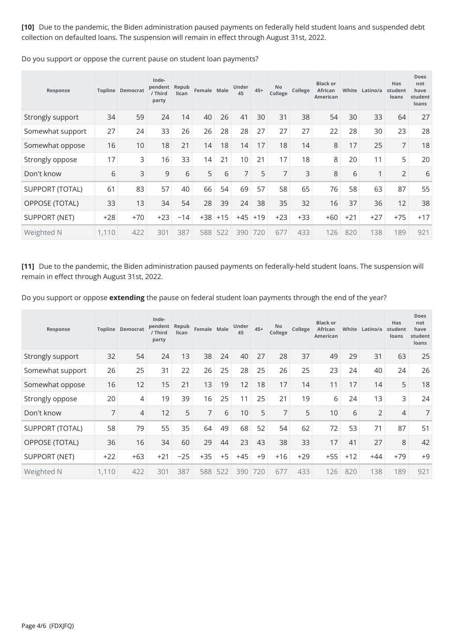**[10]** Due to the pandemic, the Biden administration paused payments on federally held student loans and suspended debt collection on defaulted loans. The suspension will remain in effect through August 31st, 2022.

| Response               |       | <b>Topline Democrat</b> | Inde-<br>pendent<br>/ Third<br>party | Repub<br>lican | Female Male |       | Under<br>45    | $45+$ | No<br>College  | College | <b>Black or</b><br><b>African</b><br>American | White | Latino/a       | Has<br>student<br>loans | Does<br>not<br>have<br>student<br>loans |
|------------------------|-------|-------------------------|--------------------------------------|----------------|-------------|-------|----------------|-------|----------------|---------|-----------------------------------------------|-------|----------------|-------------------------|-----------------------------------------|
| Strongly support       | 34    | 59                      | 24                                   | 14             | 40          | 26    | 41             | 30    | 31             | 38      | 54                                            | 30    | 33             | 64                      | 27                                      |
| Somewhat support       | 27    | 24                      | 33                                   | 26             | 26          | 28    | 28             | 27    | 27             | 27      | 22                                            | 28    | 30             | 23                      | 28                                      |
| Somewhat oppose        | 16    | 10                      | 18                                   | 21             | 14          | 18    | 14             | 17    | 18             | 14      | 8                                             | 17    | 25             | $\overline{7}$          | 18                                      |
| Strongly oppose        | 17    | 3                       | 16                                   | 33             | 14          | 21    | 10             | 21    | 17             | 18      | 8                                             | 20    | 11             | 5                       | 20                                      |
| Don't know             | 6     | 3                       | 9                                    | 6              | 5           | 6     | $\overline{7}$ | 5     | $\overline{7}$ | 3       | 8                                             | 6     | $\overline{ }$ | $\overline{2}$          | 6                                       |
| <b>SUPPORT (TOTAL)</b> | 61    | 83                      | 57                                   | 40             | 66          | 54    | 69             | 57    | 58             | 65      | 76                                            | 58    | 63             | 87                      | 55                                      |
| OPPOSE (TOTAL)         | 33    | 13                      | 34                                   | 54             | 28          | 39    | 24             | 38    | 35             | 32      | 16                                            | 37    | 36             | 12                      | 38                                      |
| <b>SUPPORT (NET)</b>   | $+28$ | $+70$                   | $+23$                                | $-14$          | $+38$       | $+15$ | $+45$          | $+19$ | $+23$          | $+33$   | $+60$                                         | $+21$ | $+27$          | $+75$                   | $+17$                                   |
| Weighted N             | 1,110 | 422                     | 301                                  | 387            | 588         | 522   | 390            | 720   | 677            | 433     | 126                                           | 820   | 138            | 189                     | 921                                     |

Do you support or oppose the current pause on student loan payments?

**[11]** Due to the pandemic, the Biden administration paused payments on federally-held student loans. The suspension will remain in effect through August 31st, 2022.

Do you support or oppose extending the pause on federal student loan payments through the end of the year?

| Response               |       | Topline Democrat | Inde-<br>pendent<br>/ Third<br>party | Repub<br>lican | Female Male    |      | Under<br>45 | $45+$ | No<br>College | College | <b>Black or</b><br>African<br>American | White | Latino/a       | Has<br>student<br>loans | <b>Does</b><br>not<br>have<br>student<br>loans |
|------------------------|-------|------------------|--------------------------------------|----------------|----------------|------|-------------|-------|---------------|---------|----------------------------------------|-------|----------------|-------------------------|------------------------------------------------|
| Strongly support       | 32    | 54               | 24                                   | 13             | 38             | 24   | 40          | 27    | 28            | 37      | 49                                     | 29    | 31             | 63                      | 25                                             |
| Somewhat support       | 26    | 25               | 31                                   | 22             | 26             | 25   | 28          | 25    | 26            | 25      | 23                                     | 24    | 40             | 24                      | 26                                             |
| Somewhat oppose        | 16    | 12               | 15                                   | 21             | 13             | 19   | 12          | 18    | 17            | 14      | 11                                     | 17    | 14             | 5                       | 18                                             |
| Strongly oppose        | 20    | 4                | 19                                   | 39             | 16             | 25   | 11          | 25    | 21            | 19      | 6                                      | 24    | 13             | 3                       | 24                                             |
| Don't know             | 7     | 4                | 12                                   | 5              | $\overline{7}$ | 6    | 10          | 5     | 7             | 5       | 10                                     | 6     | $\overline{2}$ | $\overline{4}$          | 7                                              |
| <b>SUPPORT (TOTAL)</b> | 58    | 79               | 55                                   | 35             | 64             | 49   | 68          | 52    | 54            | 62      | 72                                     | 53    | 71             | 87                      | 51                                             |
| OPPOSE (TOTAL)         | 36    | 16               | 34                                   | 60             | 29             | 44   | 23          | 43    | 38            | 33      | 17                                     | 41    | 27             | 8                       | 42                                             |
| <b>SUPPORT (NET)</b>   | $+22$ | $+63$            | $+21$                                | $-25$          | $+35$          | $+5$ | $+45$       | $+9$  | $+16$         | $+29$   | $+55$                                  | $+12$ | $+44$          | $+79$                   | $+9$                                           |
| Weighted N             | 1,110 | 422              | 301                                  | 387            | 588            | 522  | 390         | 720   | 677           | 433     | 126                                    | 820   | 138            | 189                     | 921                                            |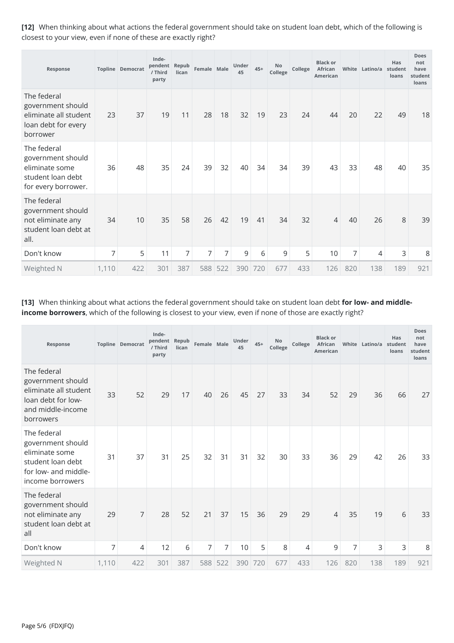**[12]** When thinking about what actions the federal government should take on student loan debt, which of the following is closest to your view, even if none of these are exactly right?

| Response                                                                                       |                | <b>Topline Democrat</b> | Inde-<br>pendent<br>/ Third<br>party | Repub<br>lican | Female Male    |     | Under<br>45 | $45+$ | <b>No</b><br>College | College | <b>Black or</b><br>African<br>American | White | Latino/a student | Has<br>loans | Does<br>not<br>have<br>student<br>loans |
|------------------------------------------------------------------------------------------------|----------------|-------------------------|--------------------------------------|----------------|----------------|-----|-------------|-------|----------------------|---------|----------------------------------------|-------|------------------|--------------|-----------------------------------------|
| The federal<br>government should<br>eliminate all student<br>loan debt for every<br>borrower   | 23             | 37                      | 19                                   | 11             | 28             | 18  | 32          | 19    | 23                   | 24      | 44                                     | 20    | 22               | 49           | 18                                      |
| The federal<br>government should<br>eliminate some<br>student loan debt<br>for every borrower. | 36             | 48                      | 35                                   | 24             | 39             | 32  | 40          | 34    | 34                   | 39      | 43                                     | 33    | 48               | 40           | 35                                      |
| The federal<br>government should<br>not eliminate any<br>student loan debt at<br>all.          | 34             | 10                      | 35                                   | 58             | 26             | 42  | 19          | 41    | 34                   | 32      | $\overline{4}$                         | 40    | 26               | 8            | 39                                      |
| Don't know                                                                                     | $\overline{7}$ | 5                       | 11                                   | $\overline{7}$ | $\overline{7}$ | 7   | 9           | 6     | 9                    | 5       | 10                                     | 7     | 4                | 3            | 8                                       |
| Weighted N                                                                                     | 1,110          | 422                     | 301                                  | 387            | 588            | 522 | 390         | 720   | 677                  | 433     | 126                                    | 820   | 138              | 189          | 921                                     |

## **[13]** When thinking about what actions the federal government should take on student loan debt **for low- and middleincome borrowers**, which of the following is closest to your view, even if none of those are exactly right?

| Response                                                                                                            |       | Topline Democrat | Inde-<br>pendent<br>/ Third<br>party | Repub<br>lican | Female Male |                | Under<br>45 | $45+$ | No<br>College | College | <b>Black or</b><br>African<br>American |     | White Latino/a student | <b>Has</b><br>loans | <b>Does</b><br>not<br>have<br>student<br>loans |
|---------------------------------------------------------------------------------------------------------------------|-------|------------------|--------------------------------------|----------------|-------------|----------------|-------------|-------|---------------|---------|----------------------------------------|-----|------------------------|---------------------|------------------------------------------------|
| The federal<br>government should<br>eliminate all student<br>loan debt for low-<br>and middle-income<br>borrowers   | 33    | 52               | 29                                   | 17             | 40          | 26             | 45          | 27    | 33            | 34      | 52                                     | 29  | 36                     | 66                  | 27                                             |
| The federal<br>government should<br>eliminate some<br>student loan debt<br>for low- and middle-<br>income borrowers | 31    | 37               | 31                                   | 25             | 32          | 31             | 31          | 32    | 30            | 33      | 36                                     | 29  | 42                     | 26                  | 33                                             |
| The federal<br>government should<br>not eliminate any<br>student loan debt at<br>all                                | 29    | 7                | 28                                   | 52             | 21          | 37             | 15          | 36    | 29            | 29      | $\overline{4}$                         | 35  | 19                     | 6                   | 33                                             |
| Don't know                                                                                                          | 7     | 4                | 12                                   | 6              | 7           | $\overline{7}$ | 10          | 5     | 8             | 4       | 9                                      | 7   | 3                      | 3                   | 8                                              |
| Weighted N                                                                                                          | 1,110 | 422              | 301                                  | 387            | 588         | 522            | 390         | 720   | 677           | 433     | 126                                    | 820 | 138                    | 189                 | 921                                            |